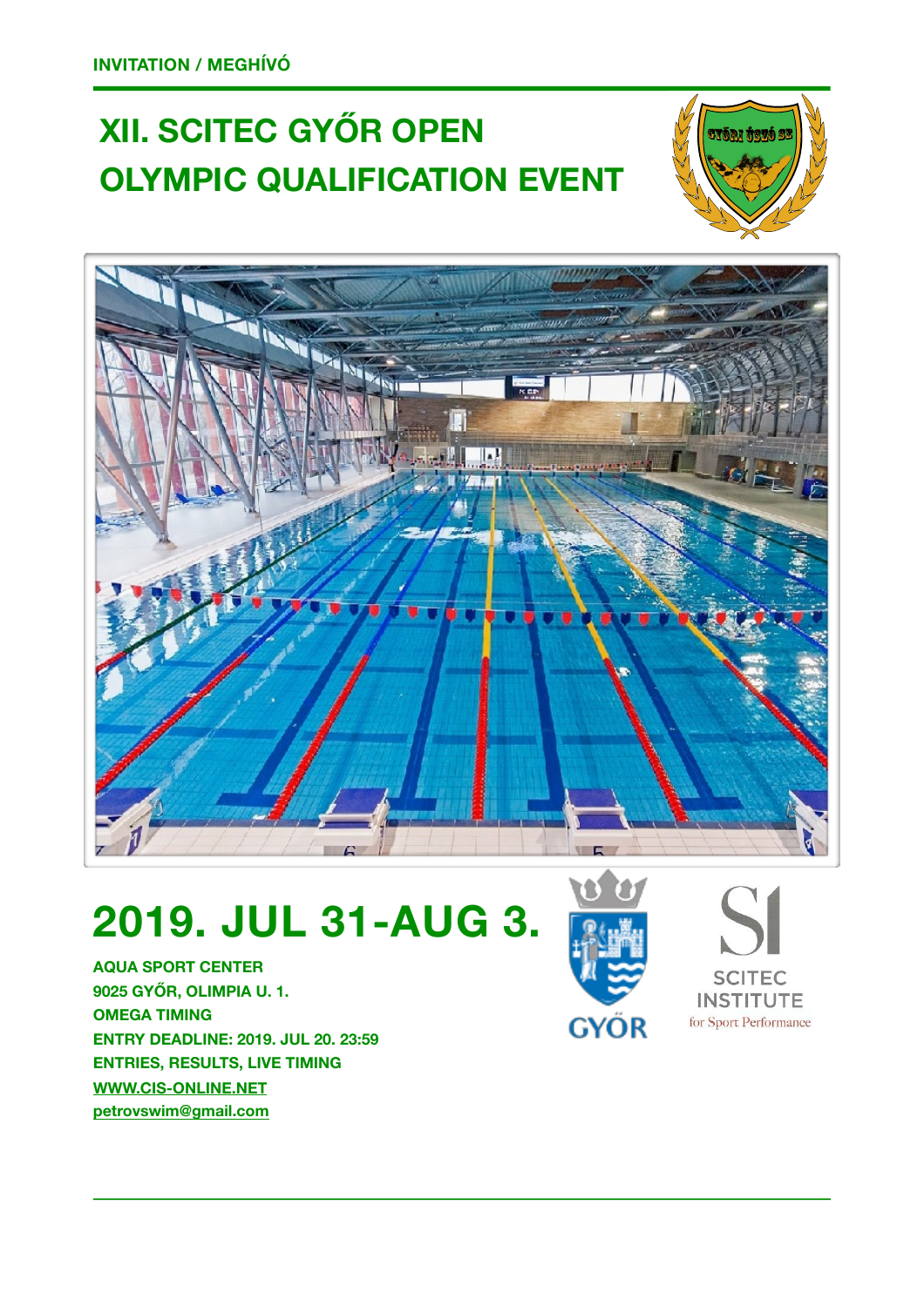## **XII. SCITEC GYŐR OPEN 2018. DEC 15. 23:59 OLYMPIC QUALIFICATION EVENT ENTRIES, RESULTS AND LIVE TIMING/ ÉLŐ**

**OMEGA** 





# **2019. JUL 31-AUG 3.**

**AQUA SPORT CENTER 9025 GYŐR, OLIMPIA U. 1. OMEGA TIMING ENTRY DEADLINE: 2019. JUL 20. 23:59 ENTRIES, RESULTS, LIVE TIMING [WWW.CIS-ONLINE.NET](http://WWW.CIS-ONLINE.NET) [petrovswim@gmail.com](mailto:petrovswim@gmail.com)**



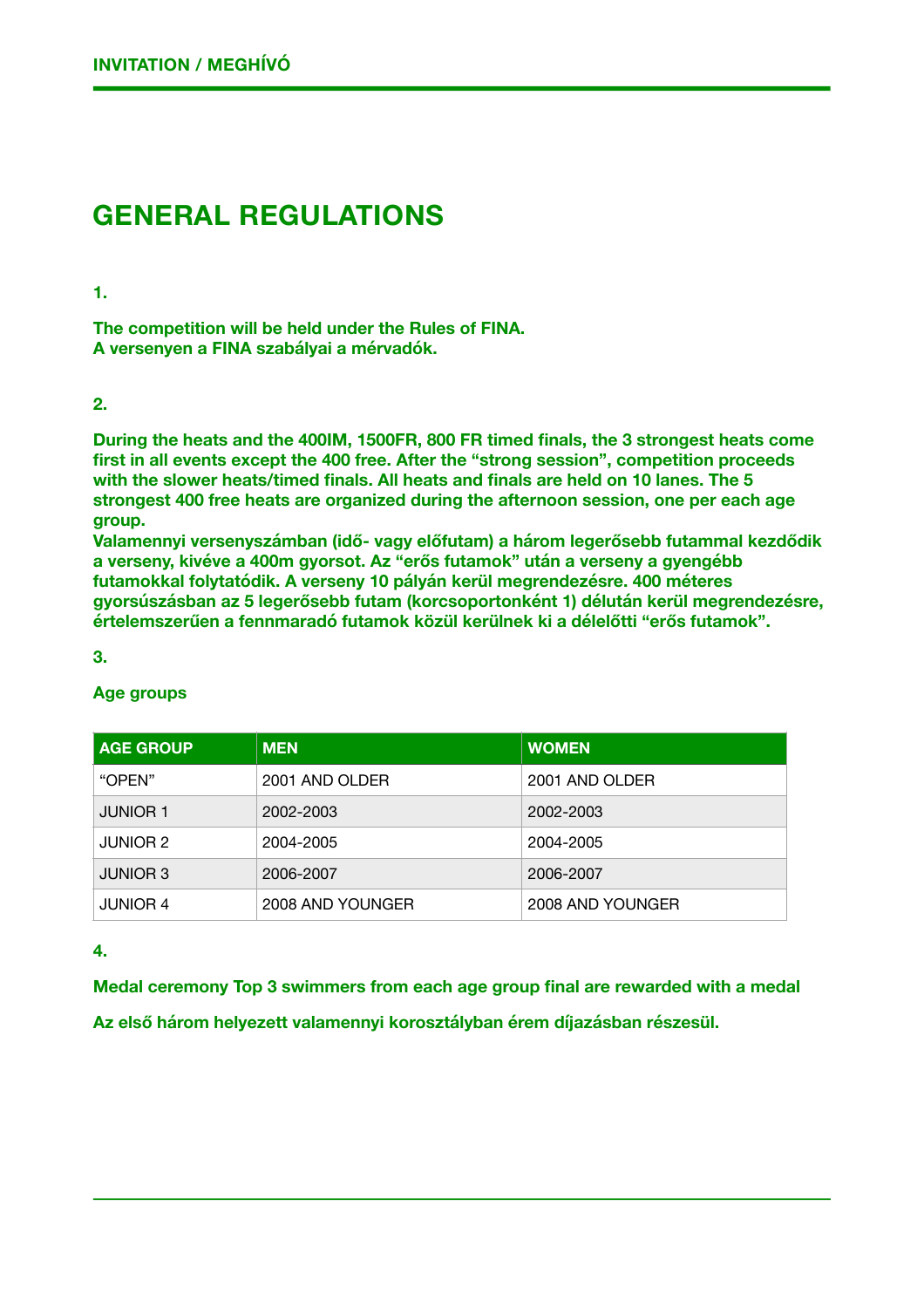## **GENERAL REGULATIONS**

#### **1.**

**The competition will be held under the Rules of FINA. A versenyen a FINA szabályai a mérvadók.** 

#### **2.**

**During the heats and the 400IM, 1500FR, 800 FR timed finals, the 3 strongest heats come first in all events except the 400 free. After the "strong session", competition proceeds with the slower heats/timed finals. All heats and finals are held on 10 lanes. The 5 strongest 400 free heats are organized during the afternoon session, one per each age group.** 

**Valamennyi versenyszámban (idő- vagy előfutam) a három legerősebb futammal kezdődik a verseny, kivéve a 400m gyorsot. Az "erős futamok" után a verseny a gyengébb futamokkal folytatódik. A verseny 10 pályán kerül megrendezésre. 400 méteres gyorsúszásban az 5 legerősebb futam (korcsoportonként 1) délután kerül megrendezésre, értelemszerűen a fennmaradó futamok közül kerülnek ki a délelőtti "erős futamok".** 

#### **3.**

#### **Age groups**

| <b>AGE GROUP</b> | <b>MEN</b><br><b>WOMEN</b> |                  |
|------------------|----------------------------|------------------|
| "OPEN"           | 2001 AND OLDER             | 2001 AND OLDER   |
| <b>JUNIOR 1</b>  | 2002-2003                  | 2002-2003        |
| JUNIOR 2         | 2004-2005                  | 2004-2005        |
| <b>JUNIOR 3</b>  | 2006-2007                  | 2006-2007        |
| <b>JUNIOR 4</b>  | 2008 AND YOUNGER           | 2008 AND YOUNGER |

#### **4.**

**Medal ceremony Top 3 swimmers from each age group final are rewarded with a medal Az első három helyezett valamennyi korosztályban érem díjazásban részesül.**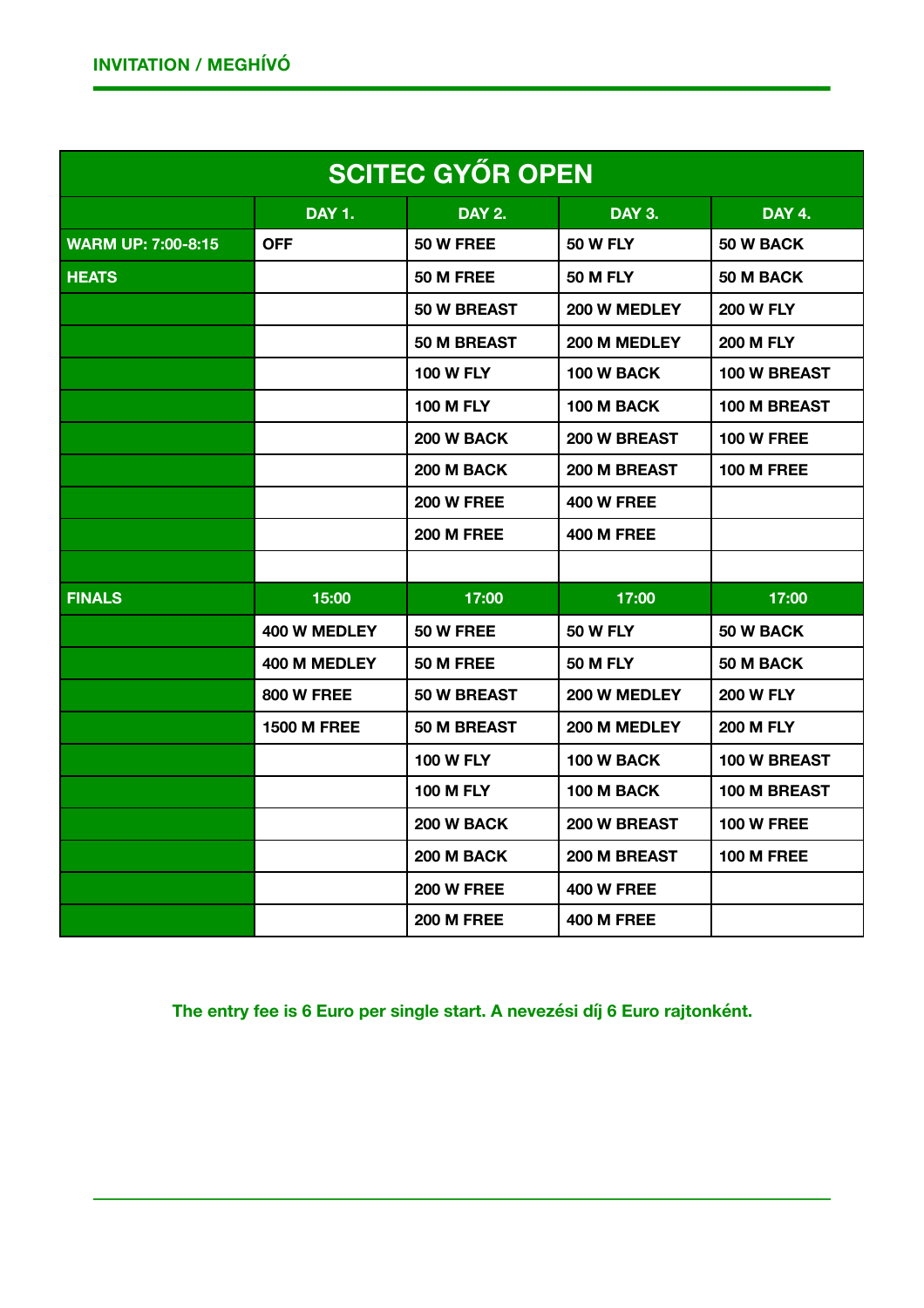| <b>SCITEC GYŐR OPEN</b>   |                    |                   |                     |                     |  |
|---------------------------|--------------------|-------------------|---------------------|---------------------|--|
|                           | <b>DAY 1.</b>      | <b>DAY 2.</b>     | <b>DAY 3.</b>       | <b>DAY 4.</b>       |  |
| <b>WARM UP: 7:00-8:15</b> | <b>OFF</b>         | <b>50 W FREE</b>  | <b>50 W FLY</b>     | 50 W BACK           |  |
| <b>HEATS</b>              |                    | 50 M FREE         | <b>50 M FLY</b>     | 50 M BACK           |  |
|                           |                    | 50 W BREAST       | 200 W MEDLEY        | <b>200 W FLY</b>    |  |
|                           |                    | 50 M BREAST       | 200 M MEDLEY        | <b>200 M FLY</b>    |  |
|                           |                    | <b>100 W FLY</b>  | 100 W BACK          | <b>100 W BREAST</b> |  |
|                           |                    | <b>100 M FLY</b>  | 100 M BACK          | 100 M BREAST        |  |
|                           |                    | <b>200 W BACK</b> | <b>200 W BREAST</b> | <b>100 W FREE</b>   |  |
|                           |                    | 200 M BACK        | <b>200 M BREAST</b> | <b>100 M FREE</b>   |  |
|                           |                    | <b>200 W FREE</b> | <b>400 W FREE</b>   |                     |  |
|                           |                    | <b>200 M FREE</b> | <b>400 M FREE</b>   |                     |  |
|                           |                    |                   |                     |                     |  |
| <b>FINALS</b>             | 15:00              | 17:00             | 17:00               | 17:00               |  |
|                           | 400 W MEDLEY       | <b>50 W FREE</b>  | <b>50 W FLY</b>     | 50 W BACK           |  |
|                           | 400 M MEDLEY       | 50 M FREE         | <b>50 M FLY</b>     | 50 M BACK           |  |
|                           | <b>800 W FREE</b>  | 50 W BREAST       | 200 W MEDLEY        | <b>200 W FLY</b>    |  |
|                           | <b>1500 M FREE</b> | 50 M BREAST       | 200 M MEDLEY        | <b>200 M FLY</b>    |  |
|                           |                    | <b>100 W FLY</b>  | 100 W BACK          | 100 W BREAST        |  |
|                           |                    | <b>100 M FLY</b>  | 100 M BACK          | 100 M BREAST        |  |
|                           |                    | <b>200 W BACK</b> | <b>200 W BREAST</b> | <b>100 W FREE</b>   |  |
|                           |                    | <b>200 M BACK</b> | <b>200 M BREAST</b> | <b>100 M FREE</b>   |  |
|                           |                    | <b>200 W FREE</b> | <b>400 W FREE</b>   |                     |  |
|                           |                    | <b>200 M FREE</b> | <b>400 M FREE</b>   |                     |  |

**The entry fee is 6 Euro per single start. A nevezési díj 6 Euro rajtonként.**